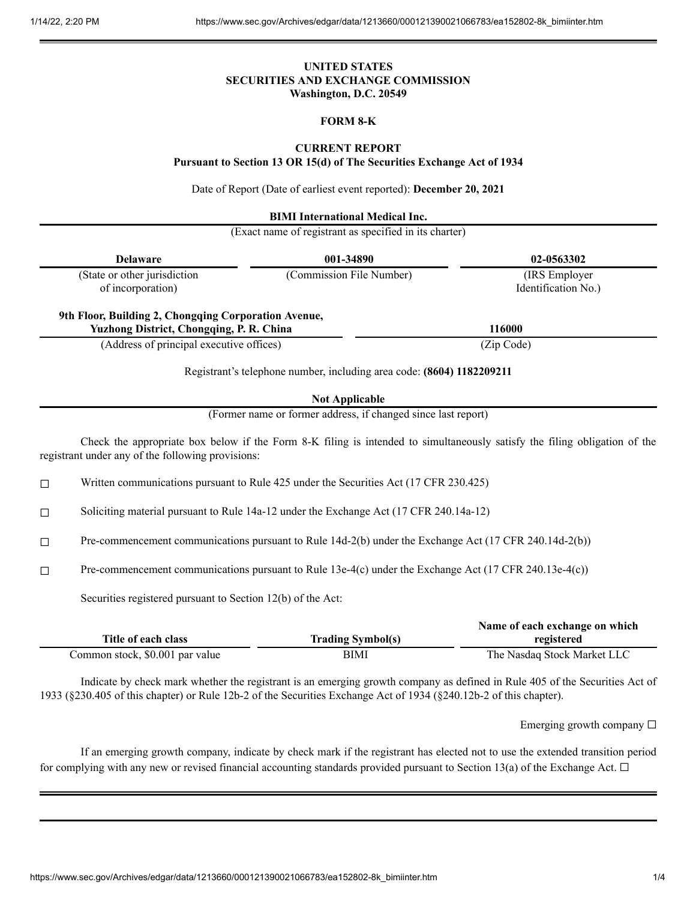# **UNITED STATES SECURITIES AND EXCHANGE COMMISSION Washington, D.C. 20549**

# **FORM 8-K**

### **CURRENT REPORT**

**Pursuant to Section 13 OR 15(d) of The Securities Exchange Act of 1934**

Date of Report (Date of earliest event reported): **December 20, 2021**

**BIMI International Medical Inc.**

(Exact name of registrant as specified in its charter)

|                                                                                                  | <b>Delaware</b>                                                                                        | 001-34890                                                                                              | 02-0563302                                                                                                                |  |
|--------------------------------------------------------------------------------------------------|--------------------------------------------------------------------------------------------------------|--------------------------------------------------------------------------------------------------------|---------------------------------------------------------------------------------------------------------------------------|--|
|                                                                                                  | (State or other jurisdiction<br>of incorporation)                                                      | (Commission File Number)                                                                               | (IRS Employer<br>Identification No.)                                                                                      |  |
| 9th Floor, Building 2, Chongqing Corporation Avenue,<br>Yuzhong District, Chongqing, P. R. China |                                                                                                        |                                                                                                        | 116000                                                                                                                    |  |
|                                                                                                  | (Address of principal executive offices)                                                               |                                                                                                        | (Zip Code)                                                                                                                |  |
|                                                                                                  |                                                                                                        | Registrant's telephone number, including area code: (8604) 1182209211                                  |                                                                                                                           |  |
|                                                                                                  |                                                                                                        | <b>Not Applicable</b>                                                                                  |                                                                                                                           |  |
|                                                                                                  |                                                                                                        | (Former name or former address, if changed since last report)                                          |                                                                                                                           |  |
|                                                                                                  | registrant under any of the following provisions:                                                      |                                                                                                        | Check the appropriate box below if the Form 8-K filing is intended to simultaneously satisfy the filing obligation of the |  |
| $\Box$                                                                                           | Written communications pursuant to Rule 425 under the Securities Act (17 CFR 230.425)                  |                                                                                                        |                                                                                                                           |  |
| $\Box$                                                                                           | Soliciting material pursuant to Rule 14a-12 under the Exchange Act (17 CFR 240.14a-12)                 |                                                                                                        |                                                                                                                           |  |
| $\Box$                                                                                           | Pre-commencement communications pursuant to Rule 14d-2(b) under the Exchange Act (17 CFR 240.14d-2(b)) |                                                                                                        |                                                                                                                           |  |
| $\Box$                                                                                           |                                                                                                        | Pre-commencement communications pursuant to Rule 13e-4(c) under the Exchange Act (17 CFR 240.13e-4(c)) |                                                                                                                           |  |
|                                                                                                  | Securities registered pursuant to Section 12(b) of the Act:                                            |                                                                                                        |                                                                                                                           |  |
|                                                                                                  | Title of each class                                                                                    | <b>Trading Symbol(s)</b>                                                                               | Name of each exchange on which<br>registered                                                                              |  |

| Indicate by check mark whether the registrant is an emerging growth company as defined in Rule 405 of the Securities Act of |
|-----------------------------------------------------------------------------------------------------------------------------|
| 1933 (§230.405 of this chapter) or Rule 12b-2 of the Securities Exchange Act of 1934 (§240.12b-2 of this chapter).          |

Common stock, \$0.001 par value BIMI BIMI The Nasdaq Stock Market LLC

Emerging growth company  $\Box$ 

If an emerging growth company, indicate by check mark if the registrant has elected not to use the extended transition period for complying with any new or revised financial accounting standards provided pursuant to Section 13(a) of the Exchange Act.  $\Box$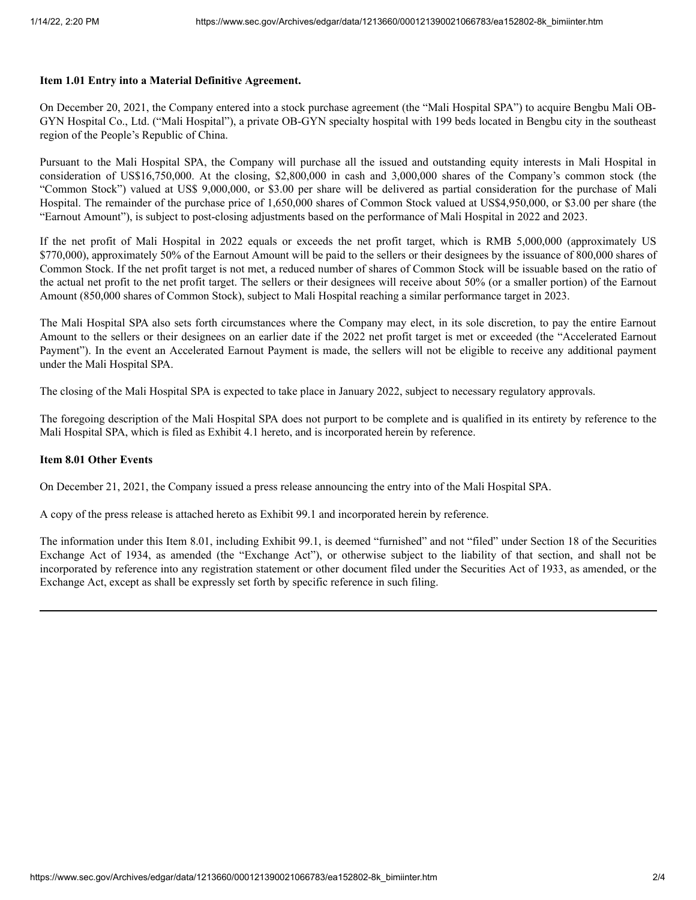#### **Item 1.01 Entry into a Material Definitive Agreement.**

On December 20, 2021, the Company entered into a stock purchase agreement (the "Mali Hospital SPA") to acquire Bengbu Mali OB-GYN Hospital Co., Ltd. ("Mali Hospital"), a private OB-GYN specialty hospital with 199 beds located in Bengbu city in the southeast region of the People's Republic of China.

Pursuant to the Mali Hospital SPA, the Company will purchase all the issued and outstanding equity interests in Mali Hospital in consideration of US\$16,750,000. At the closing, \$2,800,000 in cash and 3,000,000 shares of the Company's common stock (the "Common Stock") valued at US\$ 9,000,000, or \$3.00 per share will be delivered as partial consideration for the purchase of Mali Hospital. The remainder of the purchase price of 1,650,000 shares of Common Stock valued at US\$4,950,000, or \$3.00 per share (the "Earnout Amount"), is subject to post-closing adjustments based on the performance of Mali Hospital in 2022 and 2023.

If the net profit of Mali Hospital in 2022 equals or exceeds the net profit target, which is RMB 5,000,000 (approximately US \$770,000), approximately 50% of the Earnout Amount will be paid to the sellers or their designees by the issuance of 800,000 shares of Common Stock. If the net profit target is not met, a reduced number of shares of Common Stock will be issuable based on the ratio of the actual net profit to the net profit target. The sellers or their designees will receive about 50% (or a smaller portion) of the Earnout Amount (850,000 shares of Common Stock), subject to Mali Hospital reaching a similar performance target in 2023.

The Mali Hospital SPA also sets forth circumstances where the Company may elect, in its sole discretion, to pay the entire Earnout Amount to the sellers or their designees on an earlier date if the 2022 net profit target is met or exceeded (the "Accelerated Earnout Payment"). In the event an Accelerated Earnout Payment is made, the sellers will not be eligible to receive any additional payment under the Mali Hospital SPA.

The closing of the Mali Hospital SPA is expected to take place in January 2022, subject to necessary regulatory approvals.

The foregoing description of the Mali Hospital SPA does not purport to be complete and is qualified in its entirety by reference to the Mali Hospital SPA, which is filed as Exhibit 4.1 hereto, and is incorporated herein by reference.

## **Item 8.01 Other Events**

On December 21, 2021, the Company issued a press release announcing the entry into of the Mali Hospital SPA.

A copy of the press release is attached hereto as Exhibit 99.1 and incorporated herein by reference.

The information under this Item 8.01, including Exhibit 99.1, is deemed "furnished" and not "filed" under Section 18 of the Securities Exchange Act of 1934, as amended (the "Exchange Act"), or otherwise subject to the liability of that section, and shall not be incorporated by reference into any registration statement or other document filed under the Securities Act of 1933, as amended, or the Exchange Act, except as shall be expressly set forth by specific reference in such filing.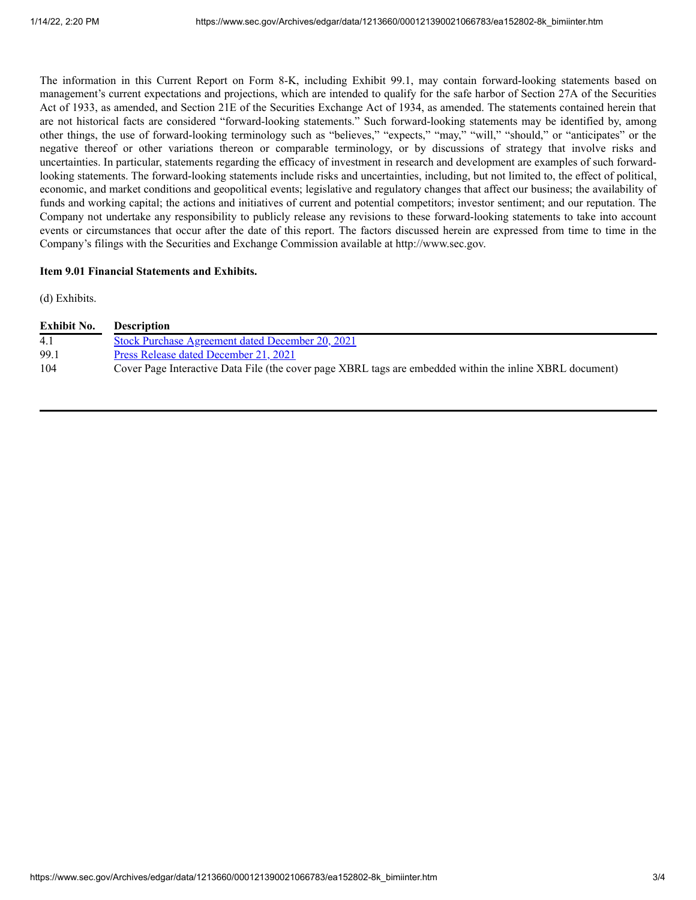The information in this Current Report on Form 8-K, including Exhibit 99.1, may contain forward-looking statements based on management's current expectations and projections, which are intended to qualify for the safe harbor of Section 27A of the Securities Act of 1933, as amended, and Section 21E of the Securities Exchange Act of 1934, as amended. The statements contained herein that are not historical facts are considered "forward-looking statements." Such forward-looking statements may be identified by, among other things, the use of forward-looking terminology such as "believes," "expects," "may," "will," "should," or "anticipates" or the negative thereof or other variations thereon or comparable terminology, or by discussions of strategy that involve risks and uncertainties. In particular, statements regarding the efficacy of investment in research and development are examples of such forwardlooking statements. The forward-looking statements include risks and uncertainties, including, but not limited to, the effect of political, economic, and market conditions and geopolitical events; legislative and regulatory changes that affect our business; the availability of funds and working capital; the actions and initiatives of current and potential competitors; investor sentiment; and our reputation. The Company not undertake any responsibility to publicly release any revisions to these forward-looking statements to take into account events or circumstances that occur after the date of this report. The factors discussed herein are expressed from time to time in the Company's filings with the Securities and Exchange Commission available at http://www.sec.gov.

## **Item 9.01 Financial Statements and Exhibits.**

(d) Exhibits.

| Exhibit No. | <b>Description</b>                                                                                       |
|-------------|----------------------------------------------------------------------------------------------------------|
| 4.1         | <b>Stock Purchase Agreement dated December 20, 2021</b>                                                  |
| 99.1        | Press Release dated December 21, 2021                                                                    |
| 104         | Cover Page Interactive Data File (the cover page XBRL tags are embedded within the inline XBRL document) |